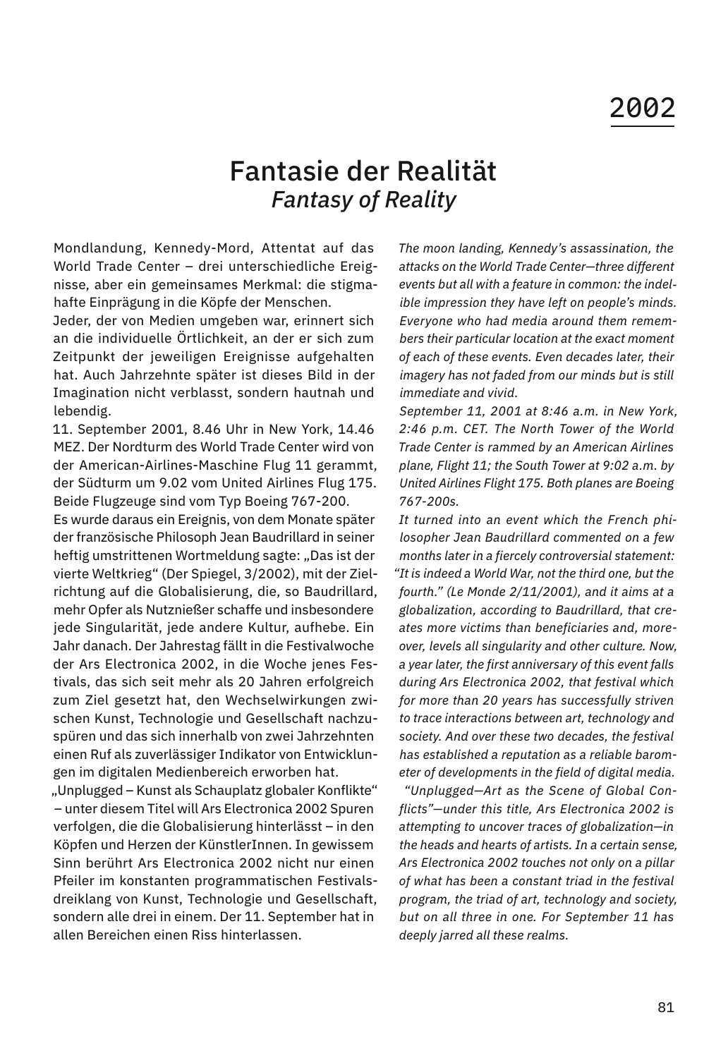## Fantasie der Realität *Fantasy of Reality*

Mondlandung, Kennedy-Mord, Attentat auf das World Trade Center – drei unterschiedliche Ereignisse, aber ein gemeinsames Merkmal: die stigmahafte Einprägung in die Köpfe der Menschen.

Jeder, der von Medien umgeben war, erinnert sich an die individuelle Örtlichkeit, an der er sich zum Zeitpunkt der jeweiligen Ereignisse aufgehalten hat. Auch Jahrzehnte später ist dieses Bild in der Imagination nicht verblasst, sondern hautnah und lebendig.

11. September 2001, 8.46 Uhr in New York, 14.46 MEZ. Der Nordturm des World Trade Center wird von der American-Airlines-Maschine Flug 11 gerammt, der Südturm um 9.02 vom United Airlines Flug 175. Beide Flugzeuge sind vom Typ Boeing 767-200.

Es wurde daraus ein Ereignis, von dem Monate später der französische Philosoph Jean Baudrillard in seiner heftig umstrittenen Wortmeldung sagte: "Das ist der vierte Weltkrieg" (Der Spiegel, 3/2002), mit der Zielrichtung auf die Globalisierung, die, so Baudrillard, mehr Opfer als Nutznießer schaffe und insbesondere jede Singularität, jede andere Kultur, aufhebe. Ein Jahr danach. Der Jahrestag fällt in die Festivalwoche der Ars Electronica 2002, in die Woche jenes Festivals, das sich seit mehr als 20 Jahren erfolgreich zum Ziel gesetzt hat, den Wechselwirkungen zwischen Kunst, Technologie und Gesellschaft nachzuspüren und das sich innerhalb von zwei Jahrzehnten einen Ruf als zuverlässiger Indikator von Entwicklungen im digitalen Medienbereich erworben hat.

 "Unplugged – Kunst als Schauplatz globaler Konflikte" – unter diesem Titel will Ars Electronica 2002 Spuren verfolgen, die die Globalisierung hinterlässt – in den Köpfen und Herzen der KünstlerInnen. In gewissem Sinn berührt Ars Electronica 2002 nicht nur einen Pfeiler im konstanten programmatischen Festivalsdreiklang von Kunst, Technologie und Gesellschaft, sondern alle drei in einem. Der 11. September hat in allen Bereichen einen Riss hinterlassen.

*The moon landing, Kennedy's assassination, the attacks on the World Trade Center—three different events but all with a feature in common: the indelible impression they have left on people's minds. Everyone who had media around them remembers their particular location at the exact moment of each of these events. Even decades later, their imagery has not faded from our minds but is still immediate and vivid.* 

*September 11, 2001 at 8:46 a.m. in New York, 2:46 p.m. CET. The North Tower of the World Trade Center is rammed by an American Airlines plane, Flight 11; the South Tower at 9:02 a.m. by United Airlines Flight 175. Both planes are Boeing 767-200s.*

*It turned into an event which the French philosopher Jean Baudrillard commented on a few months later in a fiercely controversial statement: "It is indeed a World War, not the third one, but the fourth." (Le Monde 2/11/2001), and it aims at a globalization, according to Baudrillard, that creates more victims than beneficiaries and, moreover, levels all singularity and other culture. Now, a year later, the first anniversary of this event falls during Ars Electronica 2002, that festival which for more than 20 years has successfully striven to trace interactions between art, technology and society. And over these two decades, the festival has established a reputation as a reliable barometer of developments in the field of digital media.*

 *"Unplugged—Art as the Scene of Global Conflicts"—under this title, Ars Electronica 2002 is attempting to uncover traces of globalization—in the heads and hearts of artists. In a certain sense, Ars Electronica 2002 touches not only on a pillar of what has been a constant triad in the festival program, the triad of art, technology and society, but on all three in one. For September 11 has deeply jarred all these realms.*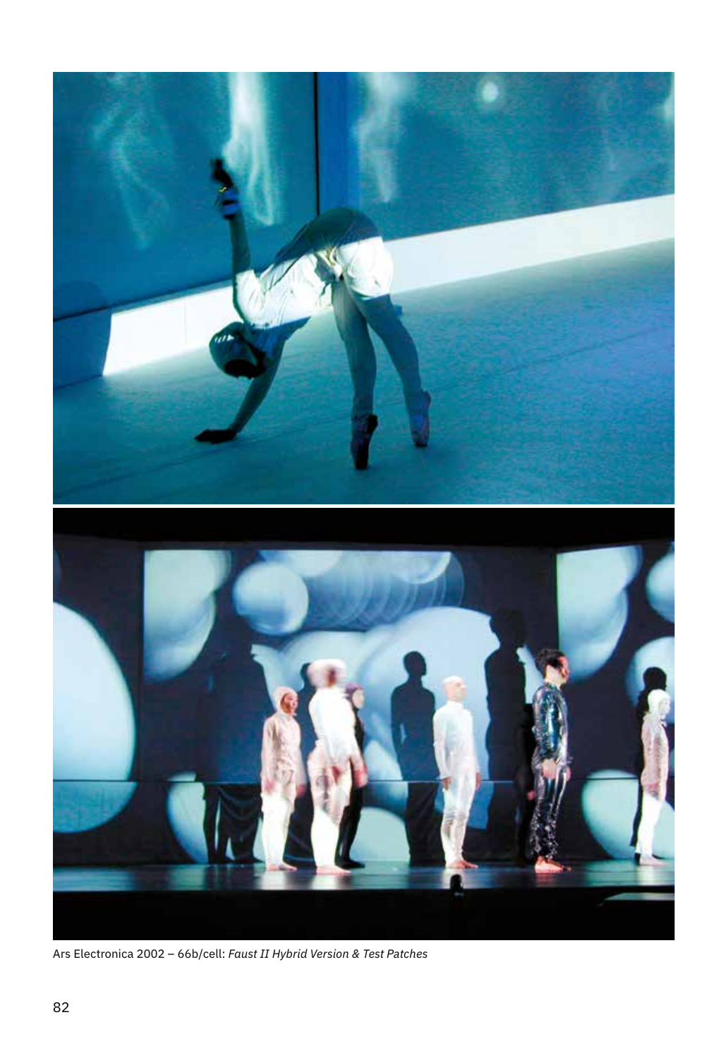

Ars Electronica 2002 – 66b/cell: *Faust II Hybrid Version & Test Patches*